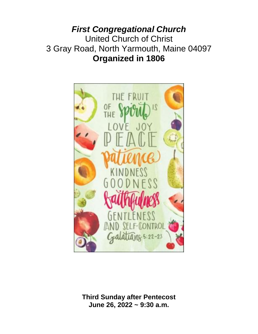*First Congregational Church* United Church of Christ 3 Gray Road, North Yarmouth, Maine 04097 **Organized in 1806**



**Third Sunday after Pentecost June 26, 2022 ~ 9:30 a.m.**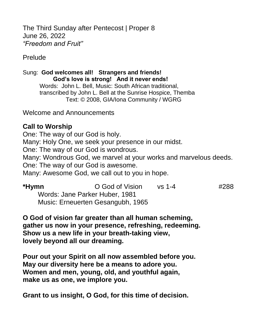The Third Sunday after Pentecost | Proper 8 June 26, 2022 *"Freedom and Fruit"*

Prelude

Sung: **God welcomes all! Strangers and friends! God's love is strong! And it never ends!**  Words: John L. Bell, Music: South African traditional, transcribed by John L. Bell at the Sunrise Hospice, Themba Text: © 2008, GIA/Iona Community / WGRG

Welcome and Announcements

## **Call to Worship**

One: The way of our God is holy. Many: Holy One, we seek your presence in our midst. One: The way of our God is wondrous. Many: Wondrous God, we marvel at your works and marvelous deeds. One: The way of our God is awesome. Many: Awesome God, we call out to you in hope.

| *Hymn | O God of Vision                   | vs 1-4 | #288 |
|-------|-----------------------------------|--------|------|
|       | Words: Jane Parker Huber, 1981    |        |      |
|       | Music: Erneuerten Gesangubh, 1965 |        |      |

**O God of vision far greater than all human scheming, gather us now in your presence, refreshing, redeeming. Show us a new life in your breath-taking view, lovely beyond all our dreaming.**

**Pour out your Spirit on all now assembled before you. May our diversity here be a means to adore you. Women and men, young, old, and youthful again, make us as one, we implore you.**

**Grant to us insight, O God, for this time of decision.**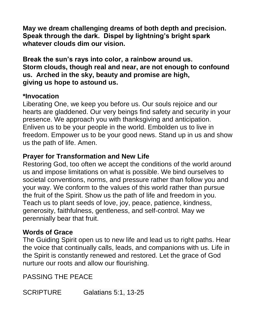**May we dream challenging dreams of both depth and precision. Speak through the dark. Dispel by lightning's bright spark whatever clouds dim our vision.**

**Break the sun's rays into color, a rainbow around us. Storm clouds, though real and near, are not enough to confound us. Arched in the sky, beauty and promise are high, giving us hope to astound us.**

## **\*Invocation**

Liberating One, we keep you before us. Our souls rejoice and our hearts are gladdened. Our very beings find safety and security in your presence. We approach you with thanksgiving and anticipation. Enliven us to be your people in the world. Embolden us to live in freedom. Empower us to be your good news. Stand up in us and show us the path of life. Amen.

## **Prayer for Transformation and New Life**

Restoring God, too often we accept the conditions of the world around us and impose limitations on what is possible. We bind ourselves to societal conventions, norms, and pressure rather than follow you and your way. We conform to the values of this world rather than pursue the fruit of the Spirit. Show us the path of life and freedom in you. Teach us to plant seeds of love, joy, peace, patience, kindness, generosity, faithfulness, gentleness, and self-control. May we perennially bear that fruit.

# **Words of Grace**

The Guiding Spirit open us to new life and lead us to right paths. Hear the voice that continually calls, leads, and companions with us. Life in the Spirit is constantly renewed and restored. Let the grace of God nurture our roots and allow our flourishing.

PASSING THE PEACE

SCRIPTURE Galatians 5:1, 13-25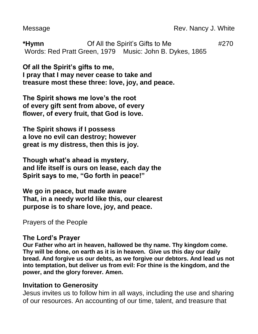Message Message Rev. Nancy J. White

**\*Hymn** Of All the Spirit's Gifts to Me #270 Words: Red Pratt Green, 1979 Music: John B. Dykes, 1865

**Of all the Spirit's gifts to me, I pray that I may never cease to take and treasure most these three: love, joy, and peace.**

**The Spirit shows me love's the root of every gift sent from above, of every flower, of every fruit, that God is love.**

**The Spirit shows if I possess a love no evil can destroy; however great is my distress, then this is joy.**

**Though what's ahead is mystery, and life itself is ours on lease, each day the Spirit says to me, "Go forth in peace!"**

**We go in peace, but made aware That, in a needy world like this, our clearest purpose is to share love, joy, and peace.** 

Prayers of the People

### **The Lord's Prayer**

**Our Father who art in heaven, hallowed be thy name. Thy kingdom come. Thy will be done, on earth as it is in heaven. Give us this day our daily bread. And forgive us our debts, as we forgive our debtors. And lead us not into temptation, but deliver us from evil: For thine is the kingdom, and the power, and the glory forever. Amen.**

## **Invitation to Generosity**

Jesus invites us to follow him in all ways, including the use and sharing of our resources. An accounting of our time, talent, and treasure that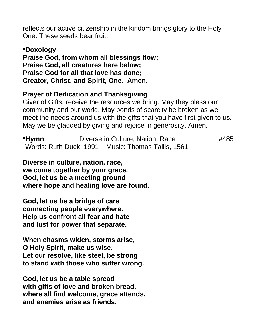reflects our active citizenship in the kindom brings glory to the Holy One. These seeds bear fruit.

**\*Doxology Praise God, from whom all blessings flow; Praise God, all creatures here below; Praise God for all that love has done; Creator, Christ, and Spirit, One. Amen.** 

## **Prayer of Dedication and Thanksgiving**

Giver of Gifts, receive the resources we bring. May they bless our community and our world. May bonds of scarcity be broken as we meet the needs around us with the gifts that you have first given to us. May we be gladded by giving and rejoice in generosity. Amen.

**\*Hymn** Diverse in Culture, Nation, Race #485 Words: Ruth Duck, 1991 Music: Thomas Tallis, 1561

**Diverse in culture, nation, race, we come together by your grace. God, let us be a meeting ground where hope and healing love are found.**

**God, let us be a bridge of care connecting people everywhere. Help us confront all fear and hate and lust for power that separate.**

**When chasms widen, storms arise, O Holy Spirit, make us wise. Let our resolve, like steel, be strong to stand with those who suffer wrong.**

**God, let us be a table spread with gifts of love and broken bread, where all find welcome, grace attends, and enemies arise as friends.**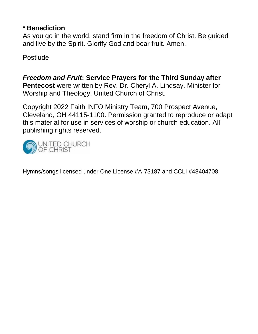## **\* Benediction**

As you go in the world, stand firm in the freedom of Christ. Be guided and live by the Spirit. Glorify God and bear fruit. Amen.

Postlude

*Freedom and Fruit***: Service Prayers for the Third Sunday after Pentecost** were written by Rev. Dr. Cheryl A. Lindsay, Minister for Worship and Theology, United Church of Christ.

Copyright 2022 Faith INFO Ministry Team, 700 Prospect Avenue, Cleveland, OH 44115-1100. Permission granted to reproduce or adapt this material for use in services of worship or church education. All publishing rights reserved.



Hymns/songs licensed under One License #A-73187 and CCLI #48404708